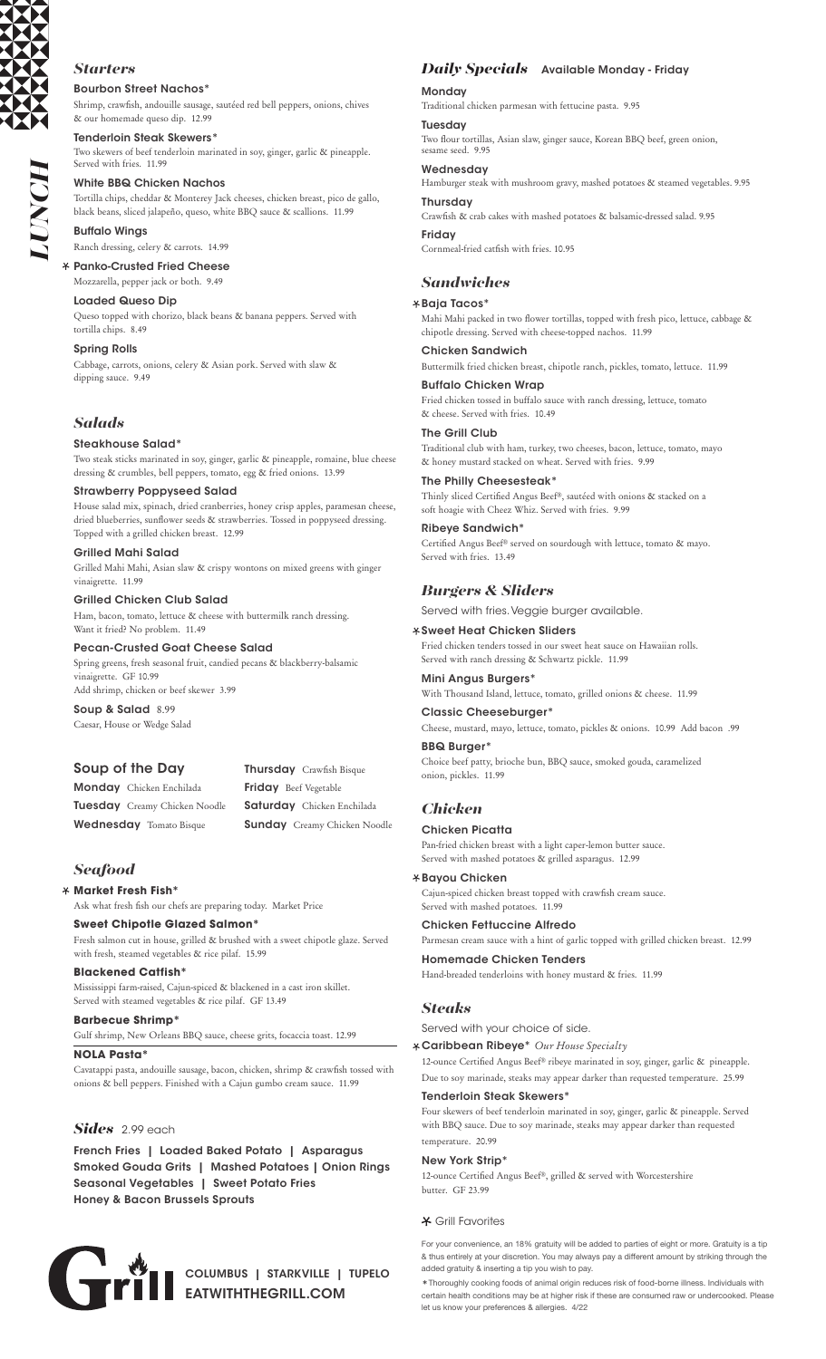

## Bourbon Street Nachos\* *Starters*

Shrimp, crawfish, andouille sausage, sautéed red bell peppers, onions, chives & our homemade queso dip. 12.99

Tenderloin Steak Skewers\*

Two skewers of beef tenderloin marinated in soy, ginger, garlic & pineapple. Served with fries. 11.99

## White BBQ Chicken Nachos

Tortilla chips, cheddar & Monterey Jack cheeses, chicken breast, pico de gallo, black beans, sliced jalapeño, queso, white BBQ sauce & scallions. 11.99

Buffalo Wings Ranch dressing, celery & carrots. 14.99

# Panko-Crusted Fried Cheese

Mozzarella, pepper jack or both. 9.49

Loaded Queso Dip

Queso topped with chorizo, black beans & banana peppers. Served with tortilla chips. 8.49

Spring Rolls

Cabbage, carrots, onions, celery & Asian pork. Served with slaw & dipping sauce. 9.49

## *Salads*

## Steakhouse Salad\*

Two steak sticks marinated in soy, ginger, garlic & pineapple, romaine, blue cheese dressing & crumbles, bell peppers, tomato, egg & fried onions. 13.99

#### Strawberry Poppyseed Salad

House salad mix, spinach, dried cranberries, honey crisp apples, paramesan cheese, dried blueberries, sunflower seeds & strawberries. Tossed in poppyseed dressing. Topped with a grilled chicken breast. 12.99

## Grilled Mahi Salad

Grilled Mahi Mahi, Asian slaw & crispy wontons on mixed greens with ginger vinaigrette. 11.99

#### Grilled Chicken Club Salad

Ham, bacon, tomato, lettuce & cheese with buttermilk ranch dressing. Want it fried? No problem. 11.49

Pecan-Crusted Goat Cheese Salad

Spring greens, fresh seasonal fruit, candied pecans & blackberry-balsamic vinaigrette. GF 10.99

Add shrimp, chicken or beef skewer 3.99

Soup & Salad 8.99 Caesar, House or Wedge Salad

## Soup of the Day

Monday Chicken Enchilada Tuesday Creamy Chicken Noodle Wednesday Tomato Bisque

Thursday Crawfish Bisque Friday Beef Vegetable Saturday Chicken Enchilada Sunday Creamy Chicken Noodle

## *Seafood*

## **Market Fresh Fish\***

Ask what fresh fish our chefs are preparing today. Market Price

## **Sweet Chipotle Glazed Salmon\***

Fresh salmon cut in house, grilled & brushed with a sweet chipotle glaze. Served with fresh, steamed vegetables & rice pilaf. 15.99

#### **Blackened Catfish\***

Mississippi farm-raised, Cajun-spiced & blackened in a cast iron skillet. Served with steamed vegetables & rice pilaf. GF 13.49

### **Barbecue Shrimp\***

Gulf shrimp, New Orleans BBQ sauce, cheese grits, focaccia toast. 12.99

#### **NOLA Pasta\***

Cavatappi pasta, andouille sausage, bacon, chicken, shrimp & crawfish tossed with onions & bell peppers. Finished with a Cajun gumbo cream sauce. 11.99

## *Sides* 2.99 each

French Fries | Loaded Baked Potato | Asparagus Smoked Gouda Grits | Mashed Potatoes | Onion Rings Seasonal Vegetables | Sweet Potato Fries Honey & Bacon Brussels Sprouts



## *Daily Specials* Available Monday - Friday

#### **Monday**

Traditional chicken parmesan with fettucine pasta. 9.95

#### **Tuesday**

Two flour tortillas, Asian slaw, ginger sauce, Korean BBQ beef, green onion, sesame seed. 9.95

## Wednesday

Hamburger steak with mushroom gravy, mashed potatoes & steamed vegetables. 9.95

# Thursday

Crawfish & crab cakes with mashed potatoes & balsamic-dressed salad. 9.95

## Friday

Cornmeal-fried catfish with fries. 10.95

## *Sandwiches*

## Baja Tacos\*

Mahi Mahi packed in two flower tortillas, topped with fresh pico, lettuce, cabbage & chipotle dressing. Served with cheese-topped nachos. 11.99

### Chicken Sandwich

Buttermilk fried chicken breast, chipotle ranch, pickles, tomato, lettuce. 11.99 Buffalo Chicken Wrap

Fried chicken tossed in buffalo sauce with ranch dressing, lettuce, tomato & cheese. Served with fries. 10.49

#### The Grill Club

Traditional club with ham, turkey, two cheeses, bacon, lettuce, tomato, mayo & honey mustard stacked on wheat. Served with fries. 9.99

#### The Philly Cheesesteak<sup>\*</sup>

Thinly sliced Certified Angus Beef®, sautéed with onions & stacked on a soft hoagie with Cheez Whiz. Served with fries. 9.99

## Ribeye Sandwich\*

Certified Angus Beef® served on sourdough with lettuce, tomato & mayo. Served with fries. 13.49

## *Burgers & Sliders*

Served with fries. Veggie burger available.

#### Sweet Heat Chicken Sliders

Fried chicken tenders tossed in our sweet heat sauce on Hawaiian rolls. Served with ranch dressing & Schwartz pickle. 11.99

#### Mini Angus Burgers\*

With Thousand Island, lettuce, tomato, grilled onions & cheese. 11.99

# Classic Cheeseburger\*

Cheese, mustard, mayo, lettuce, tomato, pickles & onions. 10.99 Add bacon .99

# BBQ Burger\*

Choice beef patty, brioche bun, BBQ sauce, smoked gouda, caramelized onion, pickles. 11.99

## *Chicken*

## Chicken Picatta

Pan-fried chicken breast with a light caper-lemon butter sauce. Served with mashed potatoes & grilled asparagus. 12.99

## Bayou Chicken

Cajun-spiced chicken breast topped with crawfish cream sauce. Served with mashed potatoes. 11.99

### Chicken Fettuccine Alfredo

Parmesan cream sauce with a hint of garlic topped with grilled chicken breast. 12.99

Homemade Chicken Tenders Hand-breaded tenderloins with honey mustard & fries. 11.99

## *Steaks*

Served with your choice of side.

Caribbean Ribeye\* *Our House Specialty*

12-ounce Certified Angus Beef® ribeye marinated in soy, ginger, garlic & pineapple. Due to soy marinade, steaks may appear darker than requested temperature. 25.99

## Tenderloin Steak Skewers<sup>\*</sup>

Four skewers of beef tenderloin marinated in soy, ginger, garlic & pineapple. Served with BBQ sauce. Due to soy marinade, steaks may appear darker than requested temperature. 20.99

## New York Strip\*

12-ounce Certified Angus Beef®, grilled & served with Worcestershire butter. GF 23.99

## Grill Favorites

For your convenience, an 18% gratuity will be added to parties of eight or more. Gratuity is a tip & thus entirely at your discretion. You may always pay a different amount by striking through the added gratuity & inserting a tip you wish to pay.

\*Thoroughly cooking foods of animal origin reduces risk of food-borne illness. Individuals with certain health conditions may be at higher risk if these are consumed raw or undercooked. Please let us know your preferences & allergies. 4/22